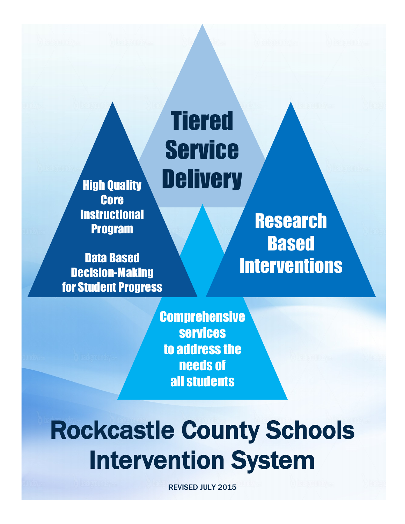High Quality **Core Instructional** Program

Data Based Decision-Making for Student Progress

**Research** Based **Interventions** 

**Comprehensive** services to address the needs of all students

**Tiered** 

**Service** 

**Delivery** 

# Rockcastle County Schools Intervention System

REVISED JULY 2015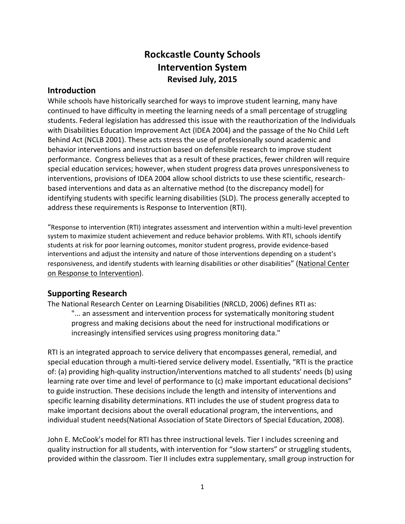## **Rockcastle County Schools Intervention System Revised July, 2015**

## **Introduction**

While schools have historically searched for ways to improve student learning, many have continued to have difficulty in meeting the learning needs of a small percentage of struggling students. Federal legislation has addressed this issue with the reauthorization of the Individuals with Disabilities Education Improvement Act (IDEA 2004) and the passage of the No Child Left Behind Act (NCLB 2001). These acts stress the use of professionally sound academic and behavior interventions and instruction based on defensible research to improve student performance. Congress believes that as a result of these practices, fewer children will require special education services; however, when student progress data proves unresponsiveness to interventions, provisions of IDEA 2004 allow school districts to use these scientific, researchbased interventions and data as an alternative method (to the discrepancy model) for identifying students with specific learning disabilities (SLD). The process generally accepted to address these requirements is Response to Intervention (RTI).

"Response to intervention (RTI) integrates assessment and intervention within a multi-level prevention system to maximize student achievement and reduce behavior problems. With RTI, schools identify students at risk for poor learning outcomes, monitor student progress, provide evidence-based interventions and adjust the intensity and nature of those interventions depending on a student's responsiveness, and identify students with learning disabilities or other disabilities" (National Center on Response to Intervention).

## **Supporting Research**

The National Research Center on Learning Disabilities (NRCLD, 2006) defines RTI as: "... an assessment and intervention process for systematically monitoring student progress and making decisions about the need for instructional modifications or increasingly intensified services using progress monitoring data."

RTI is an integrated approach to service delivery that encompasses general, remedial, and special education through a multi-tiered service delivery model. Essentially, "RTI is the practice of: (a) providing high-quality instruction/interventions matched to all students' needs (b) using learning rate over time and level of performance to (c) make important educational decisions" to guide instruction. These decisions include the length and intensity of interventions and specific learning disability determinations. RTI includes the use of student progress data to make important decisions about the overall educational program, the interventions, and individual student needs(National Association of State Directors of Special Education, 2008).

John E. McCook's model for RTI has three instructional levels. Tier I includes screening and quality instruction for all students, with intervention for "slow starters" or struggling students, provided within the classroom. Tier II includes extra supplementary, small group instruction for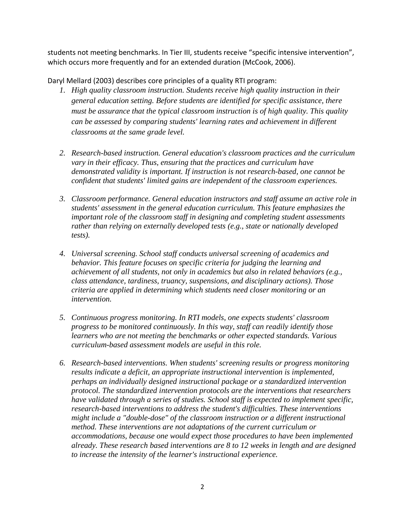students not meeting benchmarks. In Tier III, students receive "specific intensive intervention", which occurs more frequently and for an extended duration (McCook, 2006).

Daryl Mellard (2003) describes core principles of a quality RTI program:

- *1. High quality classroom instruction. Students receive high quality instruction in their general education setting. Before students are identified for specific assistance, there must be assurance that the typical classroom instruction is of high quality. This quality can be assessed by comparing students' learning rates and achievement in different classrooms at the same grade level.*
- *2. Research-based instruction. General education's classroom practices and the curriculum vary in their efficacy. Thus, ensuring that the practices and curriculum have demonstrated validity is important. If instruction is not research-based, one cannot be confident that students' limited gains are independent of the classroom experiences.*
- *3. Classroom performance. General education instructors and staff assume an active role in students' assessment in the general education curriculum. This feature emphasizes the important role of the classroom staff in designing and completing student assessments rather than relying on externally developed tests (e.g., state or nationally developed tests).*
- *4. Universal screening. School staff conducts universal screening of academics and behavior. This feature focuses on specific criteria for judging the learning and achievement of all students, not only in academics but also in related behaviors (e.g., class attendance, tardiness, truancy, suspensions, and disciplinary actions). Those criteria are applied in determining which students need closer monitoring or an intervention.*
- *5. Continuous progress monitoring. In RTI models, one expects students' classroom progress to be monitored continuously. In this way, staff can readily identify those learners who are not meeting the benchmarks or other expected standards. Various curriculum-based assessment models are useful in this role.*
- *6. Research-based interventions. When students' screening results or progress monitoring results indicate a deficit, an appropriate instructional intervention is implemented, perhaps an individually designed instructional package or a standardized intervention protocol. The standardized intervention protocols are the interventions that researchers have validated through a series of studies. School staff is expected to implement specific, research-based interventions to address the student's difficulties. These interventions might include a "double-dose" of the classroom instruction or a different instructional method. These interventions are not adaptations of the current curriculum or accommodations, because one would expect those procedures to have been implemented already. These research based interventions are 8 to 12 weeks in length and are designed to increase the intensity of the learner's instructional experience.*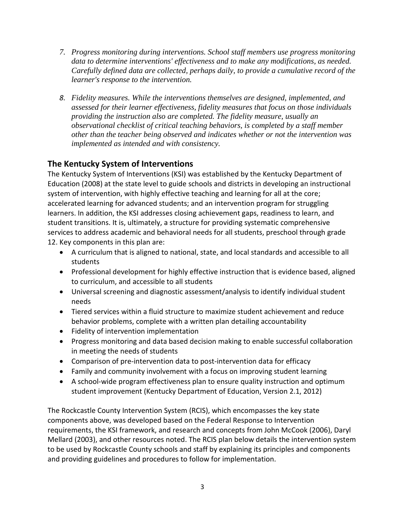- *7. Progress monitoring during interventions. School staff members use progress monitoring data to determine interventions' effectiveness and to make any modifications, as needed. Carefully defined data are collected, perhaps daily, to provide a cumulative record of the learner's response to the intervention.*
- *8. Fidelity measures. While the interventions themselves are designed, implemented, and assessed for their learner effectiveness, fidelity measures that focus on those individuals providing the instruction also are completed. The fidelity measure, usually an observational checklist of critical teaching behaviors, is completed by a staff member other than the teacher being observed and indicates whether or not the intervention was implemented as intended and with consistency.*

## **The Kentucky System of Interventions**

The Kentucky System of Interventions (KSI) was established by the Kentucky Department of Education (2008) at the state level to guide schools and districts in developing an instructional system of intervention, with highly effective teaching and learning for all at the core; accelerated learning for advanced students; and an intervention program for struggling learners. In addition, the KSI addresses closing achievement gaps, readiness to learn, and student transitions. It is, ultimately, a structure for providing systematic comprehensive services to address academic and behavioral needs for all students, preschool through grade 12. Key components in this plan are:

- A curriculum that is aligned to national, state, and local standards and accessible to all students
- Professional development for highly effective instruction that is evidence based, aligned to curriculum, and accessible to all students
- Universal screening and diagnostic assessment/analysis to identify individual student needs
- Tiered services within a fluid structure to maximize student achievement and reduce behavior problems, complete with a written plan detailing accountability
- Fidelity of intervention implementation
- Progress monitoring and data based decision making to enable successful collaboration in meeting the needs of students
- Comparison of pre-intervention data to post-intervention data for efficacy
- Family and community involvement with a focus on improving student learning
- A school-wide program effectiveness plan to ensure quality instruction and optimum student improvement (Kentucky Department of Education, Version 2.1, 2012)

The Rockcastle County Intervention System (RCIS), which encompasses the key state components above, was developed based on the Federal Response to Intervention requirements, the KSI framework, and research and concepts from John McCook (2006), Daryl Mellard (2003), and other resources noted. The RCIS plan below details the intervention system to be used by Rockcastle County schools and staff by explaining its principles and components and providing guidelines and procedures to follow for implementation.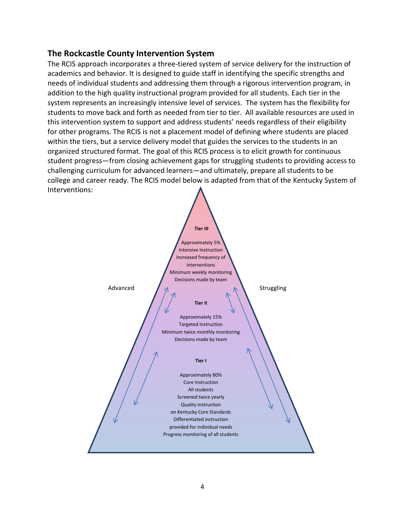## **The Rockcastle County Intervention System**

The RCIS approach incorporates a three-tiered system of service delivery for the instruction of academics and behavior. It is designed to guide staff in identifying the specific strengths and needs of individual students and addressing them through a rigorous intervention program, in addition to the high quality instructional program provided for all students. Each tier in the system represents an increasingly intensive level of services. The system has the flexibility for students to move back and forth as needed from tier to tier. All available resources are used in this intervention system to support and address students' needs regardless of their eligibility for other programs. The RCIS is not a placement model of defining where students are placed within the tiers, but a service delivery model that guides the services to the students in an organized structured format. The goal of this RCIS process is to elicit growth for continuous student progress—from closing achievement gaps for struggling students to providing access to challenging curriculum for advanced learners—and ultimately, prepare all students to be college and career ready. The RCIS model below is adapted from that of the Kentucky System of Interventions:

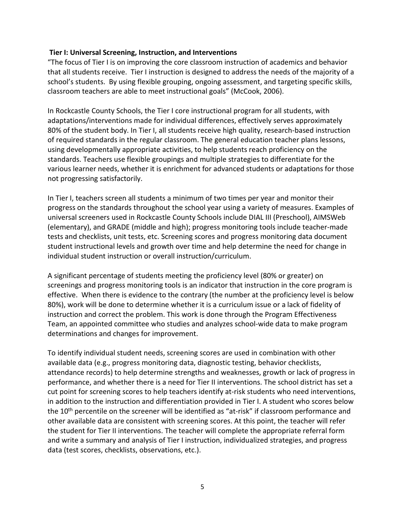#### **Tier I: Universal Screening, Instruction, and Interventions**

"The focus of Tier I is on improving the core classroom instruction of academics and behavior that all students receive. Tier I instruction is designed to address the needs of the majority of a school's students. By using flexible grouping, ongoing assessment, and targeting specific skills, classroom teachers are able to meet instructional goals" (McCook, 2006).

In Rockcastle County Schools, the Tier I core instructional program for all students, with adaptations/interventions made for individual differences, effectively serves approximately 80% of the student body. In Tier I, all students receive high quality, research-based instruction of required standards in the regular classroom. The general education teacher plans lessons, using developmentally appropriate activities, to help students reach proficiency on the standards. Teachers use flexible groupings and multiple strategies to differentiate for the various learner needs, whether it is enrichment for advanced students or adaptations for those not progressing satisfactorily.

In Tier I, teachers screen all students a minimum of two times per year and monitor their progress on the standards throughout the school year using a variety of measures. Examples of universal screeners used in Rockcastle County Schools include DIAL III (Preschool), AIMSWeb (elementary), and GRADE (middle and high); progress monitoring tools include teacher-made tests and checklists, unit tests, etc. Screening scores and progress monitoring data document student instructional levels and growth over time and help determine the need for change in individual student instruction or overall instruction/curriculum.

A significant percentage of students meeting the proficiency level (80% or greater) on screenings and progress monitoring tools is an indicator that instruction in the core program is effective. When there is evidence to the contrary (the number at the proficiency level is below 80%), work will be done to determine whether it is a curriculum issue or a lack of fidelity of instruction and correct the problem. This work is done through the Program Effectiveness Team, an appointed committee who studies and analyzes school-wide data to make program determinations and changes for improvement.

To identify individual student needs, screening scores are used in combination with other available data (e.g., progress monitoring data, diagnostic testing, behavior checklists, attendance records) to help determine strengths and weaknesses, growth or lack of progress in performance, and whether there is a need for Tier II interventions. The school district has set a cut point for screening scores to help teachers identify at-risk students who need interventions, in addition to the instruction and differentiation provided in Tier I. A student who scores below the 10<sup>th</sup> percentile on the screener will be identified as "at-risk" if classroom performance and other available data are consistent with screening scores. At this point, the teacher will refer the student for Tier II interventions. The teacher will complete the appropriate referral form and write a summary and analysis of Tier I instruction, individualized strategies, and progress data (test scores, checklists, observations, etc.).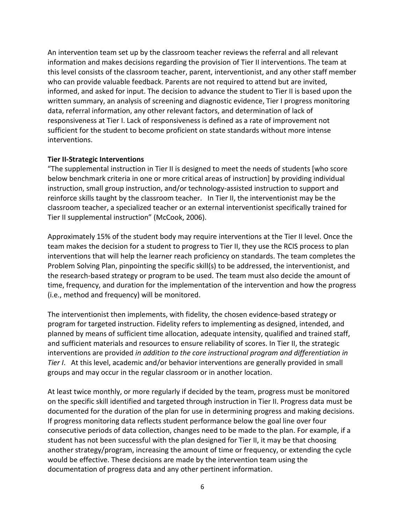An intervention team set up by the classroom teacher reviews the referral and all relevant information and makes decisions regarding the provision of Tier II interventions. The team at this level consists of the classroom teacher, parent, interventionist, and any other staff member who can provide valuable feedback. Parents are not required to attend but are invited, informed, and asked for input. The decision to advance the student to Tier II is based upon the written summary, an analysis of screening and diagnostic evidence, Tier I progress monitoring data, referral information, any other relevant factors, and determination of lack of responsiveness at Tier I. Lack of responsiveness is defined as a rate of improvement not sufficient for the student to become proficient on state standards without more intense interventions.

#### **Tier II-Strategic Interventions**

"The supplemental instruction in Tier II is designed to meet the needs of students [who score below benchmark criteria in one or more critical areas of instruction] by providing individual instruction, small group instruction, and/or technology-assisted instruction to support and reinforce skills taught by the classroom teacher. In Tier II, the interventionist may be the classroom teacher, a specialized teacher or an external interventionist specifically trained for Tier II supplemental instruction" (McCook, 2006).

Approximately 15% of the student body may require interventions at the Tier II level. Once the team makes the decision for a student to progress to Tier II, they use the RCIS process to plan interventions that will help the learner reach proficiency on standards. The team completes the Problem Solving Plan, pinpointing the specific skill(s) to be addressed, the interventionist, and the research-based strategy or program to be used. The team must also decide the amount of time, frequency, and duration for the implementation of the intervention and how the progress (i.e., method and frequency) will be monitored.

The interventionist then implements, with fidelity, the chosen evidence-based strategy or program for targeted instruction. Fidelity refers to implementing as designed, intended, and planned by means of sufficient time allocation, adequate intensity, qualified and trained staff, and sufficient materials and resources to ensure reliability of scores. In Tier II, the strategic interventions are provided *in addition to the core instructional program and differentiation in Tier I*. At this level, academic and/or behavior interventions are generally provided in small groups and may occur in the regular classroom or in another location.

At least twice monthly, or more regularly if decided by the team, progress must be monitored on the specific skill identified and targeted through instruction in Tier II. Progress data must be documented for the duration of the plan for use in determining progress and making decisions. If progress monitoring data reflects student performance below the goal line over four consecutive periods of data collection, changes need to be made to the plan. For example, if a student has not been successful with the plan designed for Tier II, it may be that choosing another strategy/program, increasing the amount of time or frequency, or extending the cycle would be effective. These decisions are made by the intervention team using the documentation of progress data and any other pertinent information.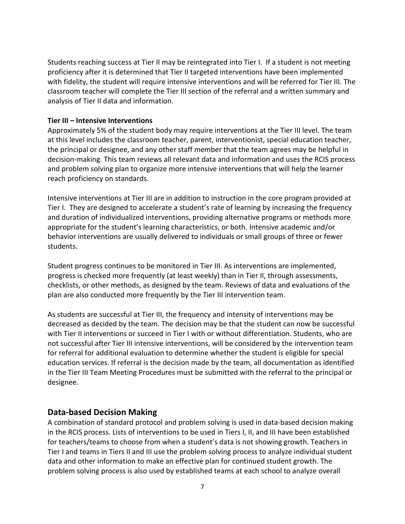Students reaching success at Tier II may be reintegrated into Tier I. If a student is not meeting proficiency after it is determined that Tier II targeted interventions have been implemented with fidelity, the student will require intensive interventions and will be referred for Tier III. The classroom teacher will complete the Tier III section of the referral and a written summary and analysis of Tier II data and information.

#### **Tier III – Intensive Interventions**

Approximately 5% of the student body may require interventions at the Tier III level. The team at this level includes the classroom teacher, parent, interventionist, special education teacher, the principal or designee, and any other staff member that the team agrees may be helpful in decision-making. This team reviews all relevant data and information and uses the RCIS process and problem solving plan to organize more intensive interventions that will help the learner reach proficiency on standards.

Intensive interventions at Tier III are in addition to instruction in the core program provided at Tier I. They are designed to accelerate a student's rate of learning by increasing the frequency and duration of individualized interventions, providing alternative programs or methods more appropriate for the student's learning characteristics, or both. Intensive academic and/or behavior interventions are usually delivered to individuals or small groups of three or fewer students.

Student progress continues to be monitored in Tier III. As interventions are implemented, progress is checked more frequently (at least weekly) than in Tier II, through assessments, checklists, or other methods, as designed by the team. Reviews of data and evaluations of the plan are also conducted more frequently by the Tier III intervention team.

As students are successful at Tier III, the frequency and intensity of interventions may be decreased as decided by the team. The decision may be that the student can now be successful with Tier II interventions or succeed in Tier I with or without differentiation. Students, who are not successful after Tier III intensive interventions, will be considered by the intervention team for referral for additional evaluation to determine whether the student is eligible for special education services. If referral is the decision made by the team, all documentation as identified in the Tier III Team Meeting Procedures must be submitted with the referral to the principal or designee.

## **Data-based Decision Making**

A combination of standard protocol and problem solving is used in data-based decision making in the RCIS process. Lists of interventions to be used in Tiers I, II, and III have been established for teachers/teams to choose from when a student's data is not showing growth. Teachers in Tier I and teams in Tiers II and III use the problem solving process to analyze individual student data and other information to make an effective plan for continued student growth. The problem solving process is also used by established teams at each school to analyze overall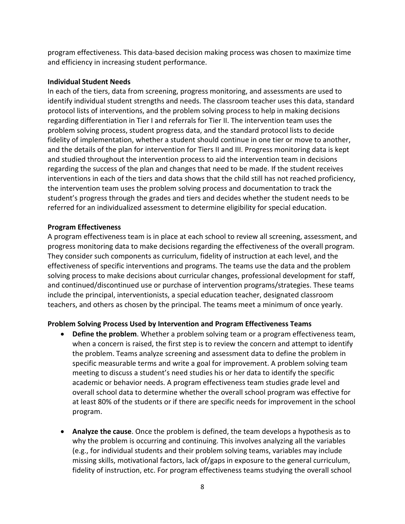program effectiveness. This data-based decision making process was chosen to maximize time and efficiency in increasing student performance.

#### **Individual Student Needs**

In each of the tiers, data from screening, progress monitoring, and assessments are used to identify individual student strengths and needs. The classroom teacher uses this data, standard protocol lists of interventions, and the problem solving process to help in making decisions regarding differentiation in Tier I and referrals for Tier II. The intervention team uses the problem solving process, student progress data, and the standard protocol lists to decide fidelity of implementation, whether a student should continue in one tier or move to another, and the details of the plan for intervention for Tiers II and III. Progress monitoring data is kept and studied throughout the intervention process to aid the intervention team in decisions regarding the success of the plan and changes that need to be made. If the student receives interventions in each of the tiers and data shows that the child still has not reached proficiency, the intervention team uses the problem solving process and documentation to track the student's progress through the grades and tiers and decides whether the student needs to be referred for an individualized assessment to determine eligibility for special education.

#### **Program Effectiveness**

A program effectiveness team is in place at each school to review all screening, assessment, and progress monitoring data to make decisions regarding the effectiveness of the overall program. They consider such components as curriculum, fidelity of instruction at each level, and the effectiveness of specific interventions and programs. The teams use the data and the problem solving process to make decisions about curricular changes, professional development for staff, and continued/discontinued use or purchase of intervention programs/strategies. These teams include the principal, interventionists, a special education teacher, designated classroom teachers, and others as chosen by the principal. The teams meet a minimum of once yearly.

#### **Problem Solving Process Used by Intervention and Program Effectiveness Teams**

- **Define the problem**. Whether a problem solving team or a program effectiveness team, when a concern is raised, the first step is to review the concern and attempt to identify the problem. Teams analyze screening and assessment data to define the problem in specific measurable terms and write a goal for improvement. A problem solving team meeting to discuss a student's need studies his or her data to identify the specific academic or behavior needs. A program effectiveness team studies grade level and overall school data to determine whether the overall school program was effective for at least 80% of the students or if there are specific needs for improvement in the school program.
- **Analyze the cause**. Once the problem is defined, the team develops a hypothesis as to why the problem is occurring and continuing. This involves analyzing all the variables (e.g., for individual students and their problem solving teams, variables may include missing skills, motivational factors, lack of/gaps in exposure to the general curriculum, fidelity of instruction, etc. For program effectiveness teams studying the overall school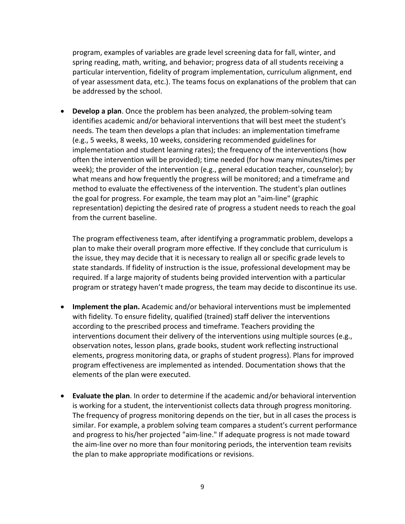program, examples of variables are grade level screening data for fall, winter, and spring reading, math, writing, and behavior; progress data of all students receiving a particular intervention, fidelity of program implementation, curriculum alignment, end of year assessment data, etc.). The teams focus on explanations of the problem that can be addressed by the school.

• **Develop a plan**. Once the problem has been analyzed, the problem-solving team identifies academic and/or behavioral interventions that will best meet the student's needs. The team then develops a plan that includes: an implementation timeframe (e.g., 5 weeks, 8 weeks, 10 weeks, considering recommended guidelines for implementation and student learning rates); the frequency of the interventions (how often the intervention will be provided); time needed (for how many minutes/times per week); the provider of the intervention (e.g., general education teacher, counselor); by what means and how frequently the progress will be monitored; and a timeframe and method to evaluate the effectiveness of the intervention. The student's plan outlines the goal for progress. For example, the team may plot an "aim-line" (graphic representation) depicting the desired rate of progress a student needs to reach the goal from the current baseline.

The program effectiveness team, after identifying a programmatic problem, develops a plan to make their overall program more effective. If they conclude that curriculum is the issue, they may decide that it is necessary to realign all or specific grade levels to state standards. If fidelity of instruction is the issue, professional development may be required. If a large majority of students being provided intervention with a particular program or strategy haven't made progress, the team may decide to discontinue its use.

- **Implement the plan.** Academic and/or behavioral interventions must be implemented with fidelity. To ensure fidelity, qualified (trained) staff deliver the interventions according to the prescribed process and timeframe. Teachers providing the interventions document their delivery of the interventions using multiple sources (e.g., observation notes, lesson plans, grade books, student work reflecting instructional elements, progress monitoring data, or graphs of student progress). Plans for improved program effectiveness are implemented as intended. Documentation shows that the elements of the plan were executed.
- **Evaluate the plan**. In order to determine if the academic and/or behavioral intervention is working for a student, the interventionist collects data through progress monitoring. The frequency of progress monitoring depends on the tier, but in all cases the process is similar. For example, a problem solving team compares a student's current performance and progress to his/her projected "aim-line." If adequate progress is not made toward the aim-line over no more than four monitoring periods, the intervention team revisits the plan to make appropriate modifications or revisions.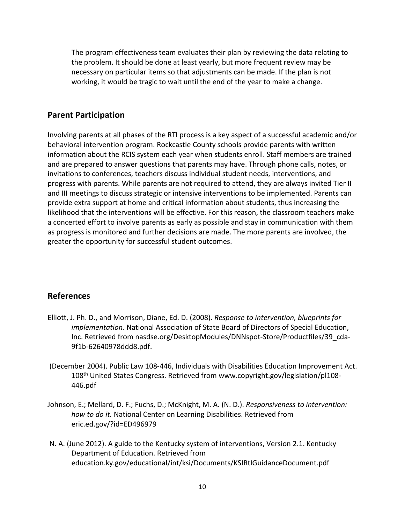The program effectiveness team evaluates their plan by reviewing the data relating to the problem. It should be done at least yearly, but more frequent review may be necessary on particular items so that adjustments can be made. If the plan is not working, it would be tragic to wait until the end of the year to make a change.

#### **Parent Participation**

Involving parents at all phases of the RTI process is a key aspect of a successful academic and/or behavioral intervention program. Rockcastle County schools provide parents with written information about the RCIS system each year when students enroll. Staff members are trained and are prepared to answer questions that parents may have. Through phone calls, notes, or invitations to conferences, teachers discuss individual student needs, interventions, and progress with parents. While parents are not required to attend, they are always invited Tier II and III meetings to discuss strategic or intensive interventions to be implemented. Parents can provide extra support at home and critical information about students, thus increasing the likelihood that the interventions will be effective. For this reason, the classroom teachers make a concerted effort to involve parents as early as possible and stay in communication with them as progress is monitored and further decisions are made. The more parents are involved, the greater the opportunity for successful student outcomes.

#### **References**

- Elliott, J. Ph. D., and Morrison, Diane, Ed. D. (2008). *Response to intervention, blueprints for implementation.* National Association of State Board of Directors of Special Education, Inc. Retrieved from nasdse.org/DesktopModules/DNNspot-Store/Productfiles/39\_cda-9f1b-62640978ddd8.pdf.
- (December 2004). Public Law 108-446, Individuals with Disabilities Education Improvement Act. 108th United States Congress. Retrieved from www.copyright.gov/legislation/pl108- 446.pdf
- Johnson, E.; Mellard, D. F.; Fuchs, D.; McKnight, M. A. (N. D.). *Responsiveness to intervention: how to do it.* National Center on Learning Disabilities. Retrieved from eric.ed.gov/?id=ED496979
- N. A. (June 2012). A guide to the Kentucky system of interventions, Version 2.1. Kentucky Department of Education. Retrieved from education.ky.gov/educational/int/ksi/Documents/KSIRtIGuidanceDocument.pdf